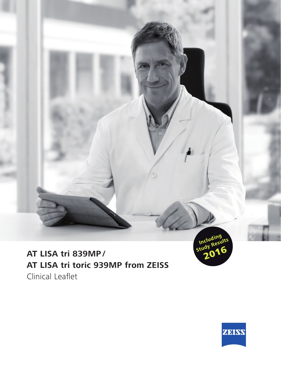



Including<br>Study Results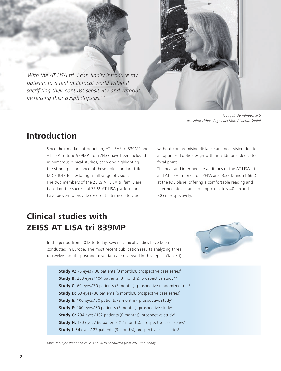*"With the AT LISA tri, I can finally introduce my patients to a real multifocal world without sacrificing their contrast sensitivity and without increasing their dysphotopsias." \**

*\*Joaquín Fernández, MD (Hospital Vithas Virgen del Mar, Almeria, Spain)*

# **Introduction**

Since their market introduction, AT LISA® tri 839MP and AT LISA tri toric 939MP from ZEISS have been included in numerous clinical studies, each one highlighting the strong performance of these gold standard trifocal MICS IOLs for restoring a full range of vision. The two members of the ZEISS AT LISA tri family are based on the successful ZEISS AT LISA platform and have proven to provide excellent intermediate vision

without compromising distance and near vision due to an optimized optic design with an additional dedicated focal point.

The near and intermediate additions of the AT LISA tri and AT LISA tri toric from ZEISS are +3.33 D and +1.66 D at the IOL plane, offering a comfortable reading and intermediate distance of approximately 40 cm and 80 cm respectively.

# **Clinical studies with ZEISS AT LISA tri 839MP**

In the period from 2012 to today, several clinical studies have been conducted in Europe. The most recent publication results analyzing three to twelve months postoperative data are reviewed in this report (Table 1).



**Study A:** 76 eyes / 38 patients (3 months), prospective case series<sup>1</sup> **Study B:** 208 eyes/ 104 patients (3 months), prospective study\*\* **Study C:** 60 eyes/30 patients (3 months), prospective randomized trial<sup>2</sup> **Study D:** 60 eyes/30 patients (6 months), prospective case series<sup>3</sup> **Study E:** 100 eyes/50 patients (3 months), prospective study<sup>4</sup> **Study F:** 100 eyes/50 patients (3 months), prospective study<sup>5</sup> **Study G:** 204 eyes/102 patients (6 months), prospective study<sup>6</sup> **Study H:** 120 eyes / 60 patients (12 months), prospective case series<sup>7</sup> **Study I**: 54 eyes / 27 patients (3 months), prospective case series<sup>8</sup>

*Table 1: Major studies on ZEISS AT LISA tri conducted from 2012 until today*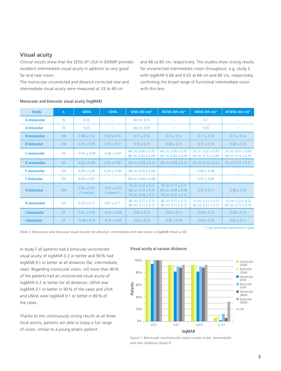# Visual acuity

Clinical results show that the ZEISS AT LISA tri 839MP provides excellent intermediate visual acuity in addition to very good far and near vision.

The monocular uncorrected and distance corrected near and intermediate visual acuity were measured at 33 to 40 cm

and 66 to 80 cm, respectively. The studies show strong results for uncorrected intermediate vision throughout, e.g. study C with logMAR 0.06 and 0.03 at 66 cm and 80 cm, respectively, confirming the broad range of functional intermediate vision with this lens.

| <b>Study</b>       | $\mathsf{n}$ | <b>UDVA</b>                   | <b>CDVA</b>                      | UIVA (80 cm)°                                                              | DCIVA (80 cm)°                                                           | <b>UNVA (40 cm)<sup>o</sup></b>                | DCNVA (40 cm)°                                   |
|--------------------|--------------|-------------------------------|----------------------------------|----------------------------------------------------------------------------|--------------------------------------------------------------------------|------------------------------------------------|--------------------------------------------------|
| A monocular        | 76           | 0.10                          |                                  | 66 cm: 0.15                                                                |                                                                          | 0.1                                            |                                                  |
| A binocular        | 76           | $-0.05$                       |                                  | 66 cm: 0.05                                                                |                                                                          | 0.05                                           |                                                  |
| <b>B</b> monocular | 208          | $0.08 \pm 0.13$               | $0.03 \pm 0.14$                  | $0.17 \pm 0.16$                                                            | $0.15 \pm 0.15$                                                          | $0.21 \pm 0.16$                                | $0.13 \pm 0.14$                                  |
| <b>B</b> binocular | 208          | $0.03 \pm 0.09$               | $0.00 \pm 0.13$                  | $0.10 \pm 0.15$                                                            | $0.08 \pm 0.15$                                                          | $0.15 \pm 0.14$                                | $0.08 \pm 0.12$                                  |
| C monocular        | 30           | $-0.05 + 0.08$                | $-0.06 \pm 0.07$                 | 66 cm: $0.06 + 0.07$<br>80 cm: $0.03 \pm 0.08$                             | 66 cm: $0.06 + 0.07$<br>80 cm: $0.03 \pm 0.08$                           | $33$ cm; 0.07 + 0.09<br>40 cm: $0.15 \pm 0.09$ | 33 cm: $0.07 + 0.09$<br>40 cm: $0.14 \pm 0.10$   |
| <b>D</b> monocular | 60           | $0.03 \pm 0.09$               | $0.05 \pm 0.08$                  | 66 cm: $0.08 \pm 0.10$                                                     | 66 cm: $0.08 \pm 0.10$                                                   | 33 cm: $0.20 \pm 0.12$                         | 33 cm: $0.17 \pm 0.11$                           |
| <b>F</b> monocular | 100          | $0.06 \pm 0.08$               | $0.04 \pm 0.08$                  | 66 cm: $0.10 \pm 0.09$                                                     |                                                                          | $0.06 \pm 0.08$                                |                                                  |
| <b>F</b> binocular | 100          | $0.04 \pm 0.07$               |                                  | 66 cm: $0.04 \pm 0.08$                                                     |                                                                          | $0.01 \pm 0.09$                                |                                                  |
| <b>G</b> binocular | 204          | $0.02 \pm 0.07$<br>(3 months) | $-0.02 \pm 0.05$<br>$(3$ months) | 70 cm: $0.12 \pm 0.11$<br>60 cm: $0.13 \pm 0.10$<br>50 cm: $0.08 \pm 0.11$ | 70 cm: $0.11 \pm 0.11$<br>60 cm: $0.09 + 0.08$<br>50 cm: $0.07 \pm 0.11$ | $0.07 + 0.11$                                  | $0.06 \pm 0.10$                                  |
| <b>H</b> monocular | 120          | $0.03 \pm 0.13$               | $0.01 \pm 0.11$                  | 66 cm: $0.12 \pm 0.13$<br>80 cm: $0.11 \pm 0.13$                           | 66 cm: $0.11 + 0.12$<br>80 cm: $0.11 \pm 0.13$                           | 33 cm: $0.23 + 0.15$<br>40 cm: $0.27 \pm 0.15$ | 33 cm: $0.21 \pm 0.14$<br>40 cm: $0.25 \pm 0.14$ |
| I monocular        | 54           | $0.01 \pm 0.10$               | $-0.04 \pm 0.08$                 | $0.06 \pm 0.12$                                                            | $0.04 \pm 0.11$                                                          | $0.09 \pm 0.12$                                | $0.06 \pm 0.13$                                  |
| I binocular        | 54           | $-0.06 + 0.10$                | $-0.10 + 0.09$                   | $0.00 + 0.12$                                                              | $-0.01 \pm 0.10$                                                         | $0.04 \pm 0.10$                                | $0.02 \pm 0.11$                                  |

#### Monocular and binocular visual acuity (logMAR)

*Table 2: Monocular and binocular visual acuities for distance, intermediate and near vision in logMAR (mean ± SD)*

° if not otherwise mentioned in table

In study F all patients had a binocular uncorrected visual acuity of logMAR 0.2 or better and 90 % had logMAR 0.1 or better at all distances (far, intermediate, near). Regarding monocular vision, still more than 90 % of the patients had an uncorrected visual acuity of logMAR 0.2 or better for all distances. UDVA was logMAR 0.1 or better in 90 % of the cases and UIVA and UNVA were logMAR 0.1 or better in 80 % of the cases.

Thanks to the continuously strong results at all three focal points, patients are able to enjoy a full range of vision, similar to a young phakic patient.

#### Visual acuity at various distances



*Figure 1. Monocular and binocular visual acuities at far, intermediate and near distances (Study F)*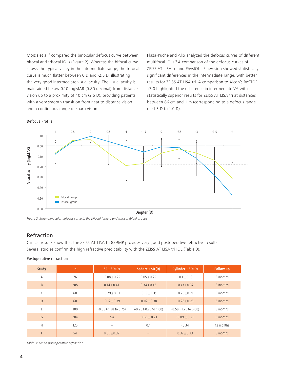Mojzis et al.<sup>2</sup> compared the binocular defocus curve between bifocal and trifocal IOLs (Figure 2). Whereas the bifocal curve shows the typical valley in the intermediate range, the trifocal curve is much flatter between 0 D and -2.5 D, illustrating the very good intermediate visual acuity. The visual acuity is maintained below 0.10 logMAR (0.80 decimal) from distance vision up to a proximity of 40 cm (2.5 D), providing patients with a very smooth transition from near to distance vision and a continuous range of sharp vision.

Plaza-Puche and Alio analyzed the defocus curves of different multifocal IOLs.<sup>9</sup> A comparison of the defocus curves of ZEISS AT LISA tri and PhysIOL's FineVision showed statistically significant differences in the intermediate range, with better results for ZEISS AT LISA tri. A comparison to Alcon's ReSTOR +3.0 highlighted the difference in intermediate VA with statistically superior results for ZEISS AT LISA tri at distances between 66 cm and 1 m (corresponding to a defocus range of -1.5 D to 1.0 D).

# 1 0.5 0 -0.5 -1 -1.5 -2 -2.5 -3 -3.5 -4 -0.10 0.10 0.00 0.40 0.50 0.60 0.20 0.30 **Bifocal group Trifocal group** Figure 2. Mean binocular defocus curve in the bifocal (green) and trifocal (blue) groups<br>
Figure 2. Mean binocular defocus curve in the bifocal (green) and trifocal (blue) groups Diopter (D)

# Refraction

Defocus Profile

Clinical results show that the ZEISS AT LISA tri 839MP provides very good postoperative refractive results. Several studies confirm the high refractive predictability with the ZEISS AT LISA tri IOL (Table 3).

| <b>Study</b>   | $\mathsf{n}$ | $SE \pm SD(D)$             | $Sphere \pm SD(D)$      | $Cylinder \pm SD(D)$          | <b>Follow up</b> |
|----------------|--------------|----------------------------|-------------------------|-------------------------------|------------------|
| $\overline{A}$ | 76           | $-0.08 + 0.25$             | $0.05 + 0.25$           | $-0.1 \pm 0.18$               | 3 months         |
| B              | 208          | $0.14 + 0.41$              | $0.34 + 0.42$           | $-0.43 + 0.37$                | 3 months         |
| $\mathsf{C}$   | 60           | $-0.29 + 0.33$             | $-0.19 + 0.35$          | $-0.20 + 0.21$                | 3 months         |
| D              | 60           | $-0.12 \pm 0.39$           | $-0.02 + 0.38$          | $-0.28 + 0.28$                | 6 months         |
| E              | 100          | $-0.08$ ( $-1.38$ to 0.75) | $+0.20$ (-0.75 to 1.00) | $-0.58$ ( $-1.75$ to $0.00$ ) | 3 months         |
| G              | 204          | n/a                        | $-0.06 \pm 0.21$        | $-0.09 + 0.21$                | 6 months         |
| Н              | 120          | -                          | 0.1                     | $-0.34$                       | 12 months        |
|                | 54           | $0.05 + 0.32$              |                         | $0.32 + 0.33$                 | 3 months         |

*Table 3: Mean postoperative refraction*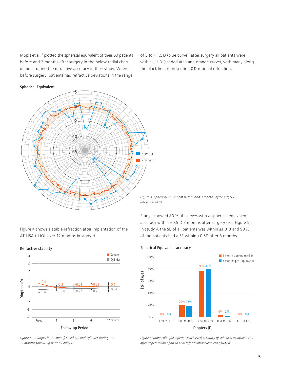Mojzis et al.10 plotted the spherical equivalent of their 60 patients before and 3 months after surgery in the below radial chart, demonstrating the refractive accuracy in their study. Whereas before surgery, patients had refractive deviations in the range

of 5 to -11.5 D (blue curve), after surgery all patients were within  $\pm$  1 D (shaded area and orange curve), with many along the black line, representing 0 D residual refraction.

5  $\boldsymbol{\theta}$  $\overline{5}$ -10  $\frac{8}{9}$  Pre-op Post-op

Spherical Equivalent

*Figure 3. Spherical equivalent before and 3 months after surgery (Mojzis et al.10)*

Spherical Equivalent accuracy

Figure 4 shows a stable refraction after implantation of the AT LISA tri IOL over 12 months in study H.





*Figure 4. Changes in the manifest sphere and cylinder during the 12 months follow-up period (Study H)*

Study I showed 80 % of all eyes with a spherical equivalent accuracy within  $\pm 0.5$  D 3 months after surgery (see Figure 5). In study A the SE of all patients was within ±1.0 D and 90 % of the patients had a SE within  $\pm 0.5D$  after 3 months.

#### Diopters (D) [%] of eyes  $0%$ 20% 40% 60% 80% 100% 20% 19% 0% 0% **0% 0% 0% 0% 0% 0% 0% 0% 0% 0% 0% 0% 0%** 4% 2% 76% 80%  $-1.50$  to  $-1.01$   $-1.00$  to  $-0.51$   $-0.50$  to 0.50 0.51 to 1.00 1.01 to 1.50  $\blacksquare$  1 month post-op (n=54)  $\blacksquare$  3 months post-op (n=54)

*Figure 5. Monocular postoperative achieved accuracy of spherical equivalent (SE) after implantation of an AT LISA trifocal intraocular lens (Study I)*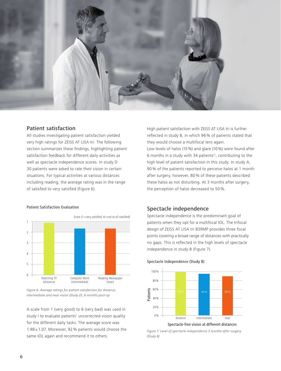

# Patient satisfaction

All studies investigating patient satisfaction yielded very high ratings for ZEISS AT LISA tri. The following section summarizes these findings, highlighting patient satisfaction feedback for different daily activities as well as spectacle independence scores. In study D 30 patients were asked to rate their vision in certain situations. For typical activities at various distances including reading, the average rating was in the range of satisfied to very satisfied (Figure 6).

#### Patient Satisfaction Evaluation



*Figure 6. Average ratings for patient satisfaction for distance, intermediate and near vision (Study D), 6 months post-op*

A scale from 1 (very good) to 6 (very bad) was used in study I to evaluate patients' uncorrected vision quality for the different daily tasks. The average score was 1.98 ± 1.07. Moreover, 92 % patients would choose the same IOL again and recommend it to others.

High patient satisfaction with ZEISS AT LISA tri is further reflected in study B, in which 96 % of patients stated that they would choose a multifocal lens again. Low levels of halos (15 %) and glare (10 %) were found after 6 months in a study with 34 patients<sup>11</sup>, contributing to the high level of patient satisfaction in this study. In study A, 90 % of the patients reported to perceive halos at 1 month after surgery, however, 80 % of these patients described these halos as not disturbing. At 3 months after surgery, the perception of halos decreased to 50 %.

### Spectacle independence

Spectacle independence is the predominant goal of patients when they opt for a multifocal IOL. The trifocal design of ZEISS AT LISA tri 839MP provides three focal points covering a broad range of distances with practically no gaps. This is reflected in the high levels of spectacle independence in study B (Figure 7).





*Figure 7. Level of spectacle independence 3 months after surgery (Study B)*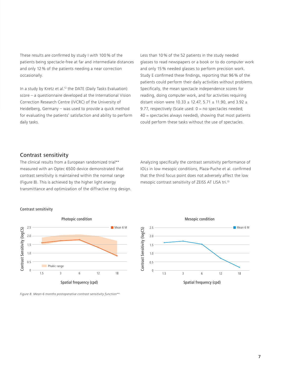These results are confirmed by study I with 100 % of the patients being spectacle-free at far and intermediate distances and only 12 % of the patients needing a near correction occasionally.

In a study by Kretz et al.12 the DATE (Daily Tasks Evaluation) score – a questionnaire developed at the International Vision Correction Research Centre (IVCRC) of the University of Heidelberg, Germany – was used to provide a quick method for evaluating the patients' satisfaction and ability to perform daily tasks.

Less than 10 % of the 52 patients in the study needed glasses to read newspapers or a book or to do computer work and only 15 % needed glasses to perform precision work. Study E confirmed these findings, reporting that 96 % of the patients could perform their daily activities without problems. Specifically, the mean spectacle independence scores for reading, doing computer work, and for activities requiring distant vision were 10.33  $\pm$  12.47, 5.71  $\pm$  11.90, and 3.92  $\pm$ 9.77, respectively (Scale used:  $0 =$  no spectacles needed;  $40$  = spectacles always needed), showing that most patients could perform these tasks without the use of spectacles.

# Contrast sensitivity

The clinical results from a European randomized trial\*\* measured with an Optec 6500 device demonstrated that contrast sensitivity is maintained within the normal range (Figure 8). This is achieved by the higher light energy transmittance and optimization of the diffractive ring design. Analyzing specifically the contrast sensitivity performance of IOLs in low mesopic conditions, Plaza-Puche et al. confirmed that the third focus point does not adversely affect the low mesopic contrast sensitivity of ZEISS AT LISA tri.13

#### Contrast sensitivity





*Figure 8. Mean-6 months postoperative contrast sensitivity function\*\**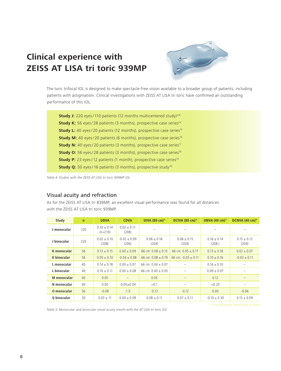# **Clinical experience with ZEISS AT LISA tri toric 939MP**



The toric trifocal IOL is designed to make spectacle-free vision available to a broader group of patients, including patients with astigmatism. Clinical investigations with ZEISS AT LISA tri toric have confirmed an outstanding performance of this IOL.

**Study J:** 220 eyes/110 patients (12 months multicentered study)\*\* **Study K:** 56 eyes/28 patients (3 months), prospective case series<sup>14</sup> **Study L:** 40 eyes/20 patients (12 months), prospective case series<sup>15</sup> **Study M:** 40 eyes/20 patients (6 months), prospective case series<sup>16</sup> **Study N:** 40 eyes/20 patients (3 months), prospective case series<sup>17</sup> **Study O:** 56 eyes/28 patients (3 months), prospective case series<sup>18</sup> **Study P:** 23 eyes/12 patients (1 month), prospective case series<sup>19</sup> **Study Q:** 30 eyes/16 patients (3 months), prospective study<sup>20</sup>

*Table 4: Studies with the ZEISS AT LISA tri toric 939MP IOL*

# Visual acuity and refraction

As for the ZEISS AT LISA tri 839MP, an excellent visual performance was found for all distances with the ZEISS AT LISA tri toric 939MP.

| Study       | $\mathsf{n}$ | <b>UDVA</b>                  | <b>CDVA</b>             | UIVA $(80 \text{ cm})^{\circ}$ | DCIVA (80 cm)°          | UNVA $(40 \text{ cm})^{\circ}$ | DCNVA $(40 \text{ cm})^{\circ}$ |
|-------------|--------------|------------------------------|-------------------------|--------------------------------|-------------------------|--------------------------------|---------------------------------|
| J monocular | 220          | $0.10 \pm 0.14$<br>$(n=210)$ | $0.02 + 0.11$<br>(208)  |                                |                         |                                |                                 |
| J binocular | 220          | $0.02 + 0.10$<br>(208)       | $-0.02 + 0.09$<br>(206) | $0.06 \pm 0.16$<br>(204)       | $0.06 + 0.15$<br>(204)  | $0.16 + 0.14$<br>(208)         | $0.15 \pm 0.13$<br>(204)        |
| K monocular | 56           | $0.13 + 0.15$                | $0.00 + 0.09$           | 66 cm: $0.08 + 0.15$           | 66 cm: $0.05 + 0.17$    | $0.13 + 0.18$                  | $0.02 + 0.07$                   |
| K binocular | 56           | $0.05 \pm 0.10$              | $-0.04 \pm 0.08$        | 66 cm: $0.08 + 0.19$           | 66 cm: $-0.03 \pm 0.11$ | $0.10 \pm 0.16$                | $-0.03 \pm 0.11$                |
| L monocular | 40           | $0.14 \pm 0.18$              | $0.00 \pm 0.07$         | 66 cm: $0.04 + 0.07$           |                         | $0.16 \pm 0.10$                |                                 |
| L binocular | 40           | $0.10 \pm 0.11$              | $0.00 \pm 0.08$         | 66 cm: $0.00 + 0.05$           |                         | $0.09 + 0.07$                  |                                 |
| M monocular | 40           | 0.05                         |                         | 0.05                           |                         | 0.12                           |                                 |
| N monocular | 40           | 0.00                         | $-0.05 + 0.04$          | < 0.1                          | -                       | < 0.20                         |                                 |
| O monocular | 56           | $-0.08$                      | $-1.0$                  | $-0.12$                        | $-0.12$                 | 0.00                           | $-0.06$                         |
| O binocular | 30           | $0.03 \pm 11$                | $0.00 \pm 0.09$         | $0.08 \pm 0.11$                | $0.07 \pm 0.11$         | $-0.10 \pm 0.30$               | $0.15 \pm 0.09$                 |

*Table 5: Monocular and binocular visual acuity results with the AT LISA tri toric IOL*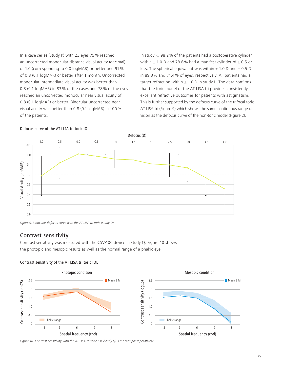In a case series (Study P) with 23 eyes 75 % reached an uncorrected monocular distance visual acuity (decimal) of 1.0 (corresponding to 0.0 logMAR) or better and 91 % of 0.8 (0.1 logMAR) or better after 1 month. Uncorrected monocular intermediate visual acuity was better than 0.8 (0.1 logMAR) in 83 % of the cases and 78 % of the eyes reached an uncorrected monocular near visual acuity of 0.8 (0.1 logMAR) or better. Binocular uncorrected near visual acuity was better than 0.8 (0.1 logMAR) in 100 % of the patients.

In study K, 98.2 % of the patients had a postoperative cylinder within  $\pm$  1.0 D and 78.6% had a manifest cylinder of  $\pm$  0.5 or less. The spherical equivalent was within  $\pm$  1.0 D and  $\pm$  0.5 D in 89.3 % and 71.4 % of eyes, respectively. All patients had a target refraction within  $\pm$  1.0 D in study L. The data confirms that the toric model of the AT LISA tri provides consistently excellent refractive outcomes for patients with astigmatism. This is further supported by the defocus curve of the trifocal toric AT LISA tri (Figure 9) which shows the same continuous range of vision as the defocus curve of the non-toric model (Figure 2).





*Figure 9. Binocular defocus curve with the AT LISA tri toric (Study Q)*

### Contrast sensitivity

Contrast sensitivity was measured with the CSV-100 device in study Q. Figure 10 shows the photopic and mesopic results as well as the normal range of a phakic eye.



Contrast sensitivity of the AT LISA tri toric IOL

*Figure 10. Contrast sensitivity with the AT LISA tri toric IOL (Study Q) 3 months postoperatively*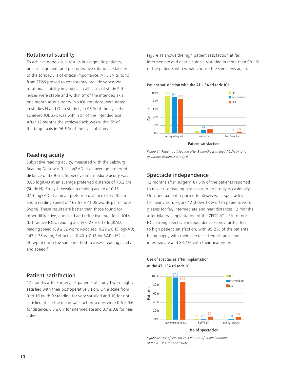# Rotational stability

To achieve good visual results in astigmatic patients, precise alignment and postoperative rotational stability of the toric IOL is of critical importance. AT LISA tri toric from ZEISS proved to consistently provide very good rotational stability in studies: In all cases of study P the lenses were stable and within 5° of the intended axis one month after surgery. No IOL rotations were noted in studies N and O. In study L, in 95 % of the eyes the achieved IOL axis was within 5° of the intended axis. After 12 months the achieved axis was within 5° of the target axis in 96.6 % of the eyes of study J.

Figure 11 shows the high patient satisfaction at far, intermediate and near distance, resulting in more than 98.1 % of the patients who would choose the same lens again.

Patient satisfaction with the AT LISA tri toric IOL



# Reading acuity

Subjective reading acuity, measured with the Salzburg Reading Desk was 0.11 logRAD at an average preferred distance of 38.9 cm. Subjective intermediate acuity was 0.03 logRAD at an average preferred distance of 78.2 cm (Study N). Study J revealed a reading acuity of 0.15  $\pm$ 0.13 logRAD at a mean preferred distance of 37.40 cm and a reading speed of  $163.57 \pm 41.08$  words per minute (wpm). These results are better than those found for other diffractive, apodized and refractive multifocal IOLs (Diffractive IOLs: reading acuity  $0.27 \pm 0.13$  logRAD; reading speed  $139 \pm 32$  wpm; Apodized:  $0.29 \pm 0.15$  logRAD; 147  $\pm$  35 wpm; Refractive: 0.40  $\pm$  0.16 logRAD; 152  $\pm$ 40 wpm) using the same method to assess reading acuity and speed.<sup>21</sup>

# Patient satisfaction

12 months after surgery, all patients of study J were highly satisfied with their postoperative vision. On a scale from 0 to 10 (with 0 standing for very satisfied and 10 for not satisfied at all) the mean satisfaction scores were  $0.6 \pm 0.6$ for distance,  $0.7 \pm 0.7$  for intermediate and  $0.7 \pm 0.8$  for near vision.

*Figure 11. Patient satisfaction after 3 months with the AT LISA tri toric at various distances (Study J)*

# Spectacle independence

12 months after surgery, 87.5 % of the patients reported to never use reading glasses or to do it only occasionally. Only one patient reported to always wear spectacles for near vision. Figure 12 shows how often patients wore glasses for far, intermediate and near distances 12 months after bilateral implantation of the ZEISS AT LISA tri toric IOL. Strong spectacle independence scores further led to high patient satisfaction, with 95.2 % of the patients being happy with their spectacle-free distance and intermediate and 83.7 % with their near vision.



### Use of spectacles after implantation of the AT LISA tri toric IOL

Use of spectacles

*Figure 12. Use of spectacles 3 months after implantation of the AT LISA tri toric (Study J)*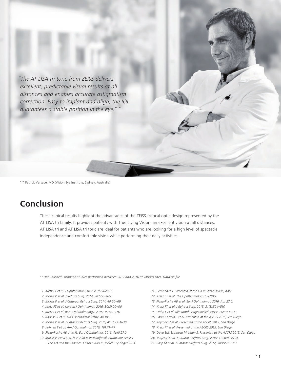*"The AT LISA tri toric from ZEISS delivers excellent, predictable visual results at all distances and enables accurate astigmatism correction. Easy to implant and align, the IOL guarantees a stable position in the eye."\*\*\**

\*\*\* Patrick Versace, MD (Vision Eye Institute, Sydney, Australia)

# **Conclusion**

These clinical results highlight the advantages of the ZEISS trifocal optic design represented by the AT LISA tri family. It provides patients with True Living Vision: an excellent vision at all distances. AT LISA tri and AT LISA tri toric are ideal for patients who are looking for a high level of spectacle independence and comfortable vision while performing their daily activities.

*\*\* Unpublished European studies performed between 2012 and 2016 at various sites. Data on file*

- *1. Kretz FT et al. J Ophthalmol. 2015; 2015:962891*
- *2. Mojzis P et al. J Refract Surg. 2014; 30:666–672*
- *3. Mojzis P et al. J Cataract Refract Surg. 2014; 40:60–69*
- *4. Kretz FT et al. Korean J Ophthalmol. 2016; 30(3):00–00*
- *5. Kretz FT et al. BMC Ophthalmology. 2015; 15:110–116*
- *6. Alfonso JF et al. Eur J Ophthalmol. 2016; Jan 18:0.*
- *7. Mojzis P et al. J Cataract Refract Surg. 2015; 41:1623–1630*
- *8. Kohnen T et al. Am J Ophthalmol. 2016; 161:71–77*
- *9. Plaza-Puche AB, Alio JL. Eur J Ophthalmol. 2016; April 27:0*
- *10. Mojzis P, Pena-Garcia P, Alio JL in Multifocal Intraocular Lenses* 
	- *The Art and the Practice. Editors: Alio JL, Pikkel J. Springer 2014*
- *11. Fernandez J. Presented at the ESCRS 2012, Milan, Italy*
- *12. Kretz FT et al. The Ophthalmologist 7/2015*
- *13. Plaza-Puche AB et al. Eur J Ophthalmol. 2016; Apr 27:0.*
- *14. Kretz FT et al. J Refract Surg. 2015; 31(8):504–510*
- *15. Höhn F et al. Klin Monbl Augenheilkd. 2015; 232:957–961*
- *16. Faria-Correia F et al. Presented at the ASCRS 2015, San Diego*
- *17. Kaymak H et al. Presented at the ASCRS 2015, San Diego*
- *18. Kretz FT et al. Presented at the ASCRS 2015, San Diego*
- *19. Daya SM, Espinosa M, Khan S. Presented at the ASCRS 2015, San Diego*
- *20. Mojzis P et al. J Cataract Refract Surg. 2015; 41:2695–2706*
- *21. Rasp M et al. J Cataract Refract Surg. 2012; 38:1950–1961*